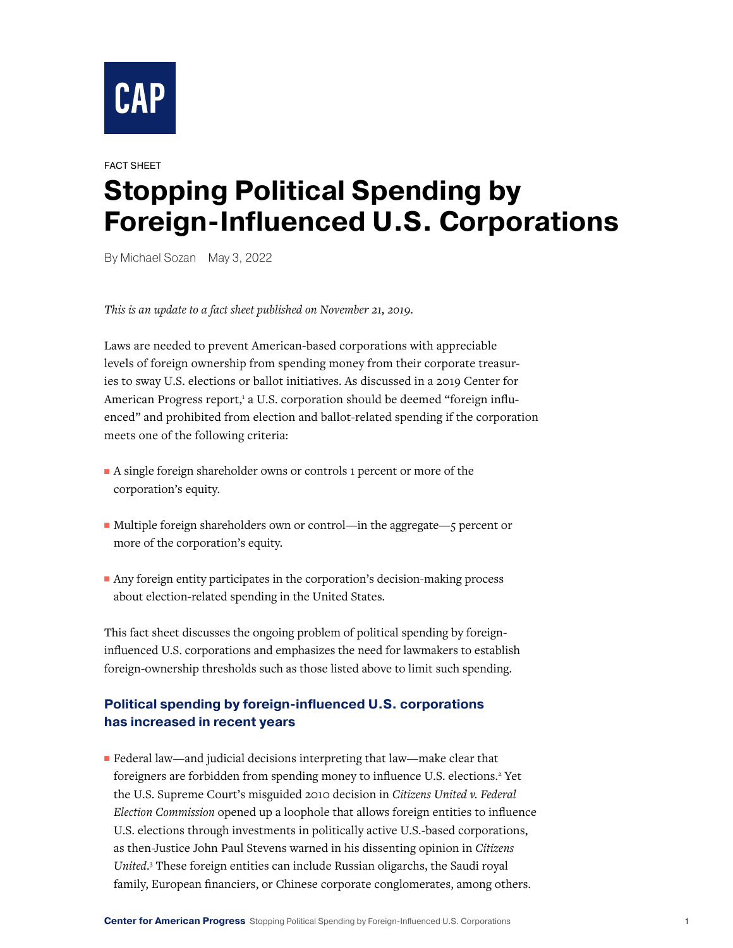

## FACT SHEET **Stopping Political Spending by Foreign-Influenced U.S. Corporations**

By Michael Sozan May 3, 2022

*This is an update to a fact sheet published on November 21, 2019.* 

Laws are needed to prevent American-based corporations with appreciable levels of foreign ownership from spending money from their corporate treasuries to sway U.S. elections or ballot initiatives. As discussed in a 2019 Center for American Progress report,<sup>1</sup> a U.S. corporation should be deemed "foreign influenced" and prohibited from election and ballot-related spending if the corporation meets one of the following criteria:

- A single foreign shareholder owns or controls 1 percent or more of the corporation's equity.
- Multiple foreign shareholders own or control—in the aggregate—5 percent or more of the corporation's equity.
- Any foreign entity participates in the corporation's decision-making process about election-related spending in the United States.

This fact sheet discusses the ongoing problem of political spending by foreigninfluenced U.S. corporations and emphasizes the need for lawmakers to establish foreign-ownership thresholds such as those listed above to limit such spending.

## **Political spending by foreign-influenced U.S. corporations has increased in recent years**

■ Federal law—and judicial decisions interpreting that law—make clear that foreigners are forbidden from spending money to influence U.S. elections.<sup>2</sup> Yet the U.S. Supreme Court's misguided 2010 decision in *Citizens United v. Federal Election Commission* opened up a loophole that allows foreign entities to influence U.S. elections through investments in politically active U.S.-based corporations, as then-Justice John Paul Stevens warned in his dissenting opinion in *Citizens United*. 3 These foreign entities can include Russian oligarchs, the Saudi royal family, European financiers, or Chinese corporate conglomerates, among others.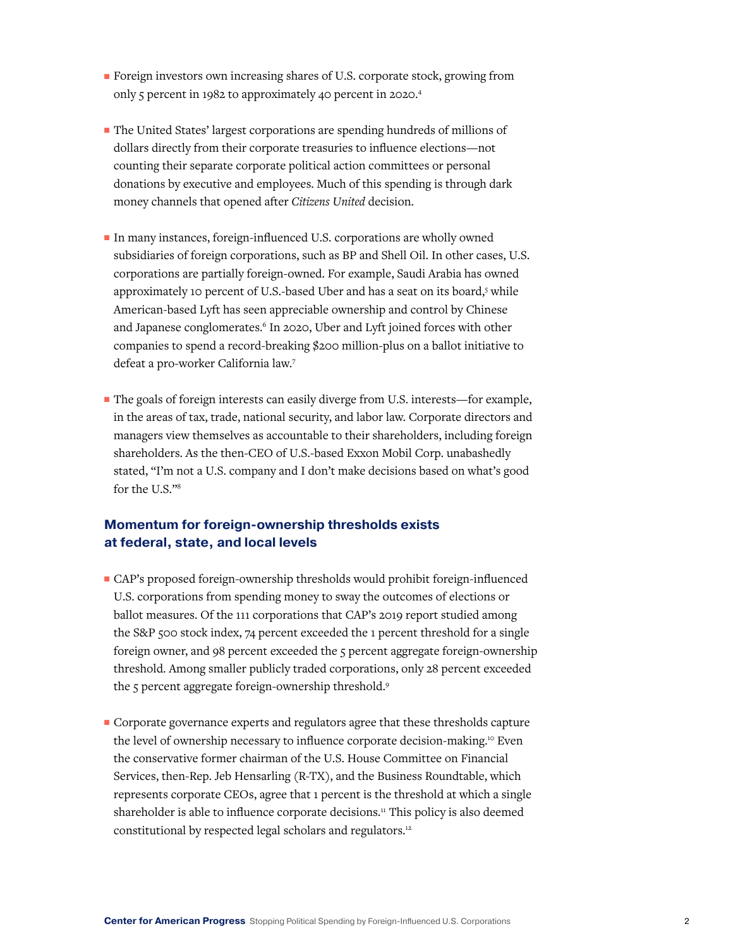- Foreign investors own increasing shares of U.S. corporate stock, growing from only 5 percent in 1982 to approximately 40 percent in 2020.4
- The United States' largest corporations are spending hundreds of millions of dollars directly from their corporate treasuries to influence elections—not counting their separate corporate political action committees or personal donations by executive and employees. Much of this spending is through dark money channels that opened after *Citizens United* decision.
- In many instances, foreign-influenced U.S. corporations are wholly owned subsidiaries of foreign corporations, such as BP and Shell Oil. In other cases, U.S. corporations are partially foreign-owned. For example, Saudi Arabia has owned approximately 10 percent of U.S.-based Uber and has a seat on its board,<sup>5</sup> while American-based Lyft has seen appreciable ownership and control by Chinese and Japanese conglomerates.<sup>6</sup> In 2020, Uber and Lyft joined forces with other companies to spend a record-breaking \$200 million-plus on a ballot initiative to defeat a pro-worker California law.7
- The goals of foreign interests can easily diverge from U.S. interests—for example, in the areas of tax, trade, national security, and labor law. Corporate directors and managers view themselves as accountable to their shareholders, including foreign shareholders. As the then-CEO of U.S.-based Exxon Mobil Corp. unabashedly stated, "I'm not a U.S. company and I don't make decisions based on what's good for the U.S."8

## **Momentum for foreign-ownership thresholds exists at federal, state, and local levels**

- CAP's proposed foreign-ownership thresholds would prohibit foreign-influenced U.S. corporations from spending money to sway the outcomes of elections or ballot measures. Of the 111 corporations that CAP's 2019 report studied among the S&P 500 stock index, 74 percent exceeded the 1 percent threshold for a single foreign owner, and 98 percent exceeded the 5 percent aggregate foreign-ownership threshold. Among smaller publicly traded corporations, only 28 percent exceeded the 5 percent aggregate foreign-ownership threshold.<sup>9</sup>
- Corporate governance experts and regulators agree that these thresholds capture the level of ownership necessary to influence corporate decision-making.<sup>10</sup> Even the conservative former chairman of the U.S. House Committee on Financial Services, then-Rep. Jeb Hensarling (R-TX), and the Business Roundtable, which represents corporate CEOs, agree that 1 percent is the threshold at which a single shareholder is able to influence corporate decisions.<sup>11</sup> This policy is also deemed constitutional by respected legal scholars and regulators.<sup>12</sup>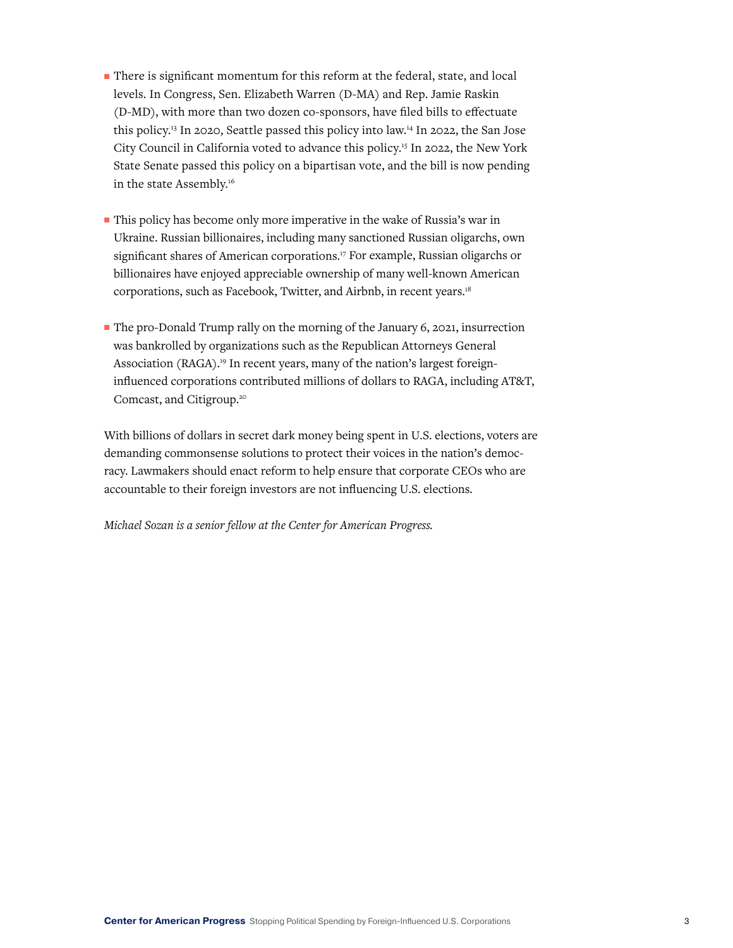- There is significant momentum for this reform at the federal, state, and local levels. In Congress, Sen. Elizabeth Warren (D-MA) and Rep. Jamie Raskin (D-MD), with more than two dozen co-sponsors, have filed bills to effectuate this policy.13 In 2020, Seattle passed this policy into law.14 In 2022, the San Jose City Council in California voted to advance this policy.15 In 2022, the New York State Senate passed this policy on a bipartisan vote, and the bill is now pending in the state Assembly.<sup>16</sup>
- This policy has become only more imperative in the wake of Russia's war in Ukraine. Russian billionaires, including many sanctioned Russian oligarchs, own significant shares of American corporations.<sup>17</sup> For example, Russian oligarchs or billionaires have enjoyed appreciable ownership of many well-known American corporations, such as Facebook, Twitter, and Airbnb, in recent years.18
- The pro-Donald Trump rally on the morning of the January 6, 2021, insurrection was bankrolled by organizations such as the Republican Attorneys General Association (RAGA).<sup>19</sup> In recent years, many of the nation's largest foreigninfluenced corporations contributed millions of dollars to RAGA, including AT&T, Comcast, and Citigroup.20

With billions of dollars in secret dark money being spent in U.S. elections, voters are demanding commonsense solutions to protect their voices in the nation's democracy. Lawmakers should enact reform to help ensure that corporate CEOs who are accountable to their foreign investors are not influencing U.S. elections.

*Michael Sozan is a senior fellow at the Center for American Progress.*